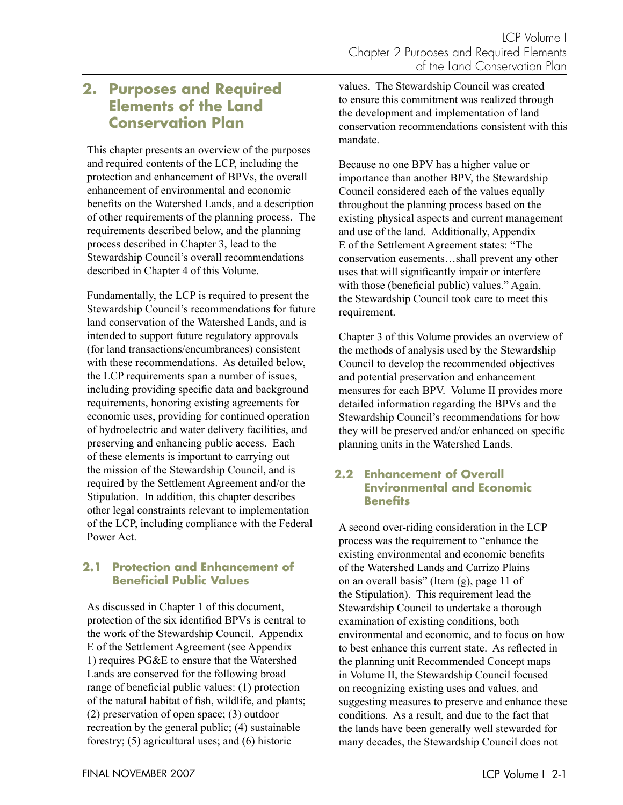# **2. Purposes and Required Elements of the Land Conservation Plan**

This chapter presents an overview of the purposes and required contents of the LCP, including the protection and enhancement of BPVs, the overall enhancement of environmental and economic benefits on the Watershed Lands, and a description of other requirements of the planning process. The requirements described below, and the planning process described in Chapter 3, lead to the Stewardship Council's overall recommendations described in Chapter 4 of this Volume.

Fundamentally, the LCP is required to present the Stewardship Council's recommendations for future land conservation of the Watershed Lands, and is intended to support future regulatory approvals (for land transactions/encumbrances) consistent with these recommendations. As detailed below, the LCP requirements span a number of issues, including providing specific data and background requirements, honoring existing agreements for economic uses, providing for continued operation of hydroelectric and water delivery facilities, and preserving and enhancing public access. Each of these elements is important to carrying out the mission of the Stewardship Council, and is required by the Settlement Agreement and/or the Stipulation. In addition, this chapter describes other legal constraints relevant to implementation of the LCP, including compliance with the Federal Power Act.

# **2.1 Protection and Enhancement of Beneficial Public Values**

As discussed in Chapter 1 of this document, protection of the six identified BPVs is central to the work of the Stewardship Council. Appendix E of the Settlement Agreement (see Appendix 1) requires PG&E to ensure that the Watershed Lands are conserved for the following broad range of beneficial public values: (1) protection of the natural habitat of fish, wildlife, and plants; (2) preservation of open space; (3) outdoor recreation by the general public; (4) sustainable forestry; (5) agricultural uses; and (6) historic

values. The Stewardship Council was created to ensure this commitment was realized through the development and implementation of land conservation recommendations consistent with this mandate.

Because no one BPV has a higher value or importance than another BPV, the Stewardship Council considered each of the values equally throughout the planning process based on the existing physical aspects and current management and use of the land. Additionally, Appendix E of the Settlement Agreement states: "The conservation easements…shall prevent any other uses that will significantly impair or interfere with those (beneficial public) values." Again, the Stewardship Council took care to meet this requirement.

Chapter 3 of this Volume provides an overview of the methods of analysis used by the Stewardship Council to develop the recommended objectives and potential preservation and enhancement measures for each BPV. Volume II provides more detailed information regarding the BPVs and the Stewardship Council's recommendations for how they will be preserved and/or enhanced on specific planning units in the Watershed Lands.

# **2.2 Enhancement of Overall Environmental and Economic Benefits**

A second over-riding consideration in the LCP process was the requirement to "enhance the existing environmental and economic benefits of the Watershed Lands and Carrizo Plains on an overall basis" (Item (g), page 11 of the Stipulation). This requirement lead the Stewardship Council to undertake a thorough examination of existing conditions, both environmental and economic, and to focus on how to best enhance this current state. As reflected in the planning unit Recommended Concept maps in Volume II, the Stewardship Council focused on recognizing existing uses and values, and suggesting measures to preserve and enhance these conditions. As a result, and due to the fact that the lands have been generally well stewarded for many decades, the Stewardship Council does not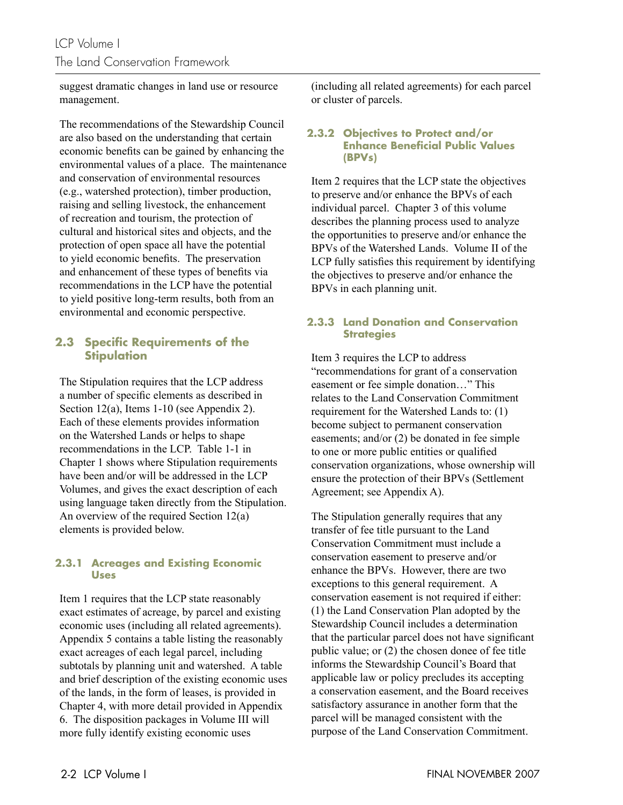suggest dramatic changes in land use or resource management.

The recommendations of the Stewardship Council are also based on the understanding that certain economic benefits can be gained by enhancing the environmental values of a place. The maintenance and conservation of environmental resources (e.g., watershed protection), timber production, raising and selling livestock, the enhancement of recreation and tourism, the protection of cultural and historical sites and objects, and the protection of open space all have the potential to yield economic benefits. The preservation and enhancement of these types of benefits via recommendations in the LCP have the potential to yield positive long-term results, both from an environmental and economic perspective.

# **2.3 Specific Requirements of the Stipulation**

The Stipulation requires that the LCP address a number of specific elements as described in Section 12(a), Items 1-10 (see Appendix 2). Each of these elements provides information on the Watershed Lands or helps to shape recommendations in the LCP. Table 1-1 in Chapter 1 shows where Stipulation requirements have been and/or will be addressed in the LCP Volumes, and gives the exact description of each using language taken directly from the Stipulation. An overview of the required Section 12(a) elements is provided below.

### **2.3.1 Acreages and Existing Economic Uses**

Item 1 requires that the LCP state reasonably exact estimates of acreage, by parcel and existing economic uses (including all related agreements). Appendix 5 contains a table listing the reasonably exact acreages of each legal parcel, including subtotals by planning unit and watershed. A table and brief description of the existing economic uses of the lands, in the form of leases, is provided in Chapter 4, with more detail provided in Appendix 6. The disposition packages in Volume III will more fully identify existing economic uses

(including all related agreements) for each parcel or cluster of parcels.

#### **2.3.2 Objectives to Protect and/or Enhance Beneficial Public Values (BPVs)**

Item 2 requires that the LCP state the objectives to preserve and/or enhance the BPVs of each individual parcel. Chapter 3 of this volume describes the planning process used to analyze the opportunities to preserve and/or enhance the BPVs of the Watershed Lands. Volume II of the LCP fully satisfies this requirement by identifying the objectives to preserve and/or enhance the BPVs in each planning unit.

# **2.3.3 Land Donation and Conservation Strategies**

Item 3 requires the LCP to address "recommendations for grant of a conservation easement or fee simple donation…" This relates to the Land Conservation Commitment requirement for the Watershed Lands to: (1) become subject to permanent conservation easements; and/or (2) be donated in fee simple to one or more public entities or qualified conservation organizations, whose ownership will ensure the protection of their BPVs (Settlement Agreement; see Appendix A).

The Stipulation generally requires that any transfer of fee title pursuant to the Land Conservation Commitment must include a conservation easement to preserve and/or enhance the BPVs. However, there are two exceptions to this general requirement. A conservation easement is not required if either: (1) the Land Conservation Plan adopted by the Stewardship Council includes a determination that the particular parcel does not have significant public value; or (2) the chosen donee of fee title informs the Stewardship Council's Board that applicable law or policy precludes its accepting a conservation easement, and the Board receives satisfactory assurance in another form that the parcel will be managed consistent with the purpose of the Land Conservation Commitment.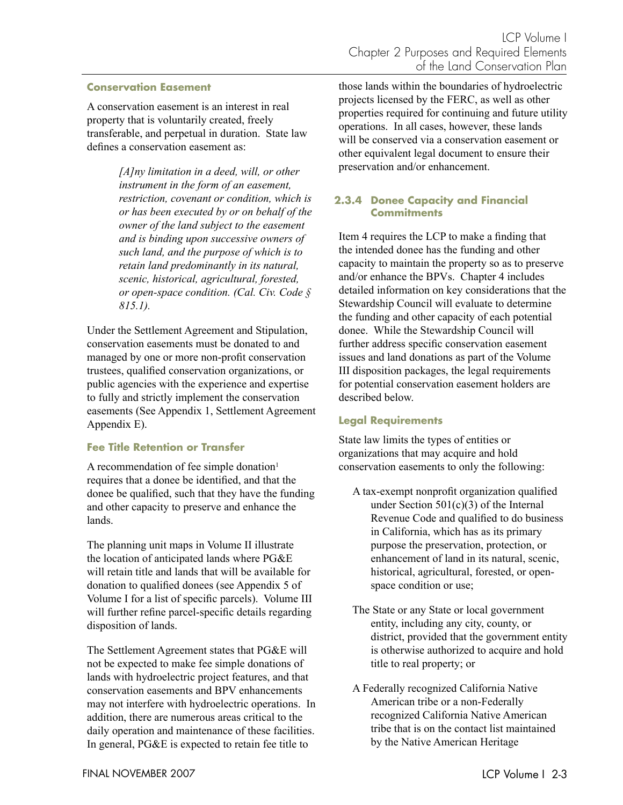#### **Conservation Easement**

A conservation easement is an interest in real property that is voluntarily created, freely transferable, and perpetual in duration. State law defines a conservation easement as:

> *[A]ny limitation in a deed, will, or other instrument in the form of an easement, restriction, covenant or condition, which is or has been executed by or on behalf of the owner of the land subject to the easement and is binding upon successive owners of such land, and the purpose of which is to retain land predominantly in its natural, scenic, historical, agricultural, forested, or open-space condition. (Cal. Civ. Code § 815.1).*

Under the Settlement Agreement and Stipulation, conservation easements must be donated to and managed by one or more non-profit conservation trustees, qualified conservation organizations, or public agencies with the experience and expertise to fully and strictly implement the conservation easements (See Appendix 1, Settlement Agreement Appendix E).

#### **Fee Title Retention or Transfer**

A recommendation of fee simple donation<sup>1</sup> requires that a donee be identified, and that the donee be qualified, such that they have the funding and other capacity to preserve and enhance the lands.

The planning unit maps in Volume II illustrate the location of anticipated lands where PG&E will retain title and lands that will be available for donation to qualified donees (see Appendix 5 of Volume I for a list of specific parcels). Volume III will further refine parcel-specific details regarding disposition of lands.

The Settlement Agreement states that PG&E will not be expected to make fee simple donations of lands with hydroelectric project features, and that conservation easements and BPV enhancements may not interfere with hydroelectric operations. In addition, there are numerous areas critical to the daily operation and maintenance of these facilities. In general, PG&E is expected to retain fee title to

those lands within the boundaries of hydroelectric projects licensed by the FERC, as well as other properties required for continuing and future utility operations. In all cases, however, these lands will be conserved via a conservation easement or other equivalent legal document to ensure their preservation and/or enhancement.

### **2.3.4 Donee Capacity and Financial Commitments**

Item 4 requires the LCP to make a finding that the intended donee has the funding and other capacity to maintain the property so as to preserve and/or enhance the BPVs. Chapter 4 includes detailed information on key considerations that the Stewardship Council will evaluate to determine the funding and other capacity of each potential donee. While the Stewardship Council will further address specific conservation easement issues and land donations as part of the Volume III disposition packages, the legal requirements for potential conservation easement holders are described below.

### **Legal Requirements**

State law limits the types of entities or organizations that may acquire and hold conservation easements to only the following:

- A tax-exempt nonprofit organization qualified under Section 501(c)(3) of the Internal Revenue Code and qualified to do business in California, which has as its primary purpose the preservation, protection, or enhancement of land in its natural, scenic, historical, agricultural, forested, or openspace condition or use;
- The State or any State or local government entity, including any city, county, or district, provided that the government entity is otherwise authorized to acquire and hold title to real property; or
- A Federally recognized California Native American tribe or a non-Federally recognized California Native American tribe that is on the contact list maintained by the Native American Heritage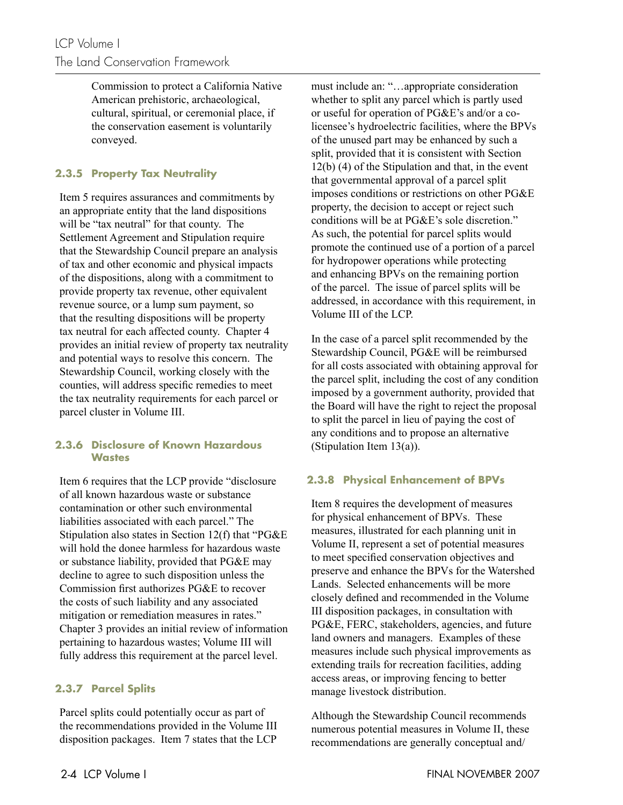Commission to protect a California Native American prehistoric, archaeological, cultural, spiritual, or ceremonial place, if the conservation easement is voluntarily conveyed.

# **2.3.5 Property Tax Neutrality**

Item 5 requires assurances and commitments by an appropriate entity that the land dispositions will be "tax neutral" for that county. The Settlement Agreement and Stipulation require that the Stewardship Council prepare an analysis of tax and other economic and physical impacts of the dispositions, along with a commitment to provide property tax revenue, other equivalent revenue source, or a lump sum payment, so that the resulting dispositions will be property tax neutral for each affected county. Chapter 4 provides an initial review of property tax neutrality and potential ways to resolve this concern. The Stewardship Council, working closely with the counties, will address specific remedies to meet the tax neutrality requirements for each parcel or parcel cluster in Volume III.

### **2.3.6 Disclosure of Known Hazardous Wastes**

Item 6 requires that the LCP provide "disclosure of all known hazardous waste or substance contamination or other such environmental liabilities associated with each parcel." The Stipulation also states in Section 12(f) that "PG&E will hold the donee harmless for hazardous waste or substance liability, provided that PG&E may decline to agree to such disposition unless the Commission first authorizes PG&E to recover the costs of such liability and any associated mitigation or remediation measures in rates." Chapter 3 provides an initial review of information pertaining to hazardous wastes; Volume III will fully address this requirement at the parcel level.

# **2.3.7 Parcel Splits**

Parcel splits could potentially occur as part of the recommendations provided in the Volume III disposition packages. Item 7 states that the LCP must include an: "…appropriate consideration whether to split any parcel which is partly used or useful for operation of PG&E's and/or a colicensee's hydroelectric facilities, where the BPVs of the unused part may be enhanced by such a split, provided that it is consistent with Section 12(b) (4) of the Stipulation and that, in the event that governmental approval of a parcel split imposes conditions or restrictions on other PG&E property, the decision to accept or reject such conditions will be at PG&E's sole discretion." As such, the potential for parcel splits would promote the continued use of a portion of a parcel for hydropower operations while protecting and enhancing BPVs on the remaining portion of the parcel. The issue of parcel splits will be addressed, in accordance with this requirement, in Volume III of the LCP.

In the case of a parcel split recommended by the Stewardship Council, PG&E will be reimbursed for all costs associated with obtaining approval for the parcel split, including the cost of any condition imposed by a government authority, provided that the Board will have the right to reject the proposal to split the parcel in lieu of paying the cost of any conditions and to propose an alternative (Stipulation Item 13(a)).

# **2.3.8 Physical Enhancement of BPVs**

Item 8 requires the development of measures for physical enhancement of BPVs. These measures, illustrated for each planning unit in Volume II, represent a set of potential measures to meet specified conservation objectives and preserve and enhance the BPVs for the Watershed Lands. Selected enhancements will be more closely defined and recommended in the Volume III disposition packages, in consultation with PG&E, FERC, stakeholders, agencies, and future land owners and managers. Examples of these measures include such physical improvements as extending trails for recreation facilities, adding access areas, or improving fencing to better manage livestock distribution.

Although the Stewardship Council recommends numerous potential measures in Volume II, these recommendations are generally conceptual and/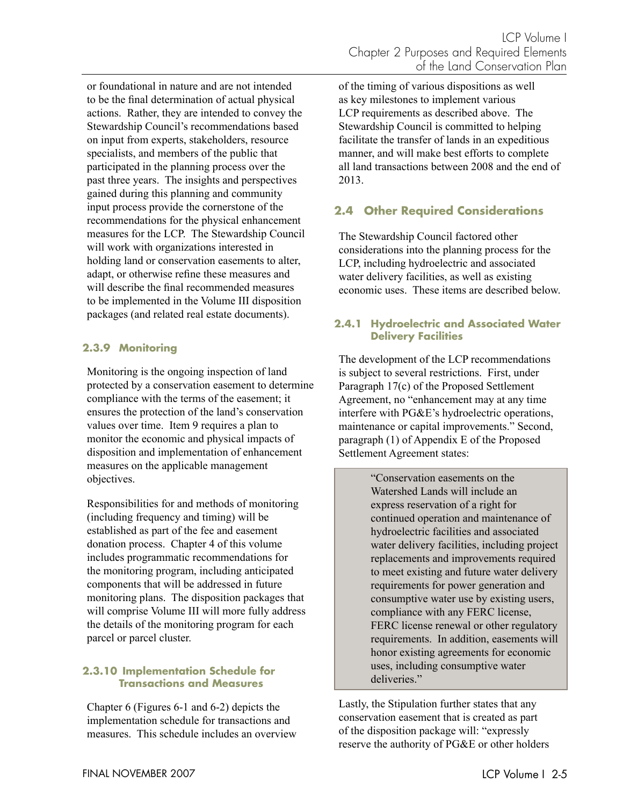or foundational in nature and are not intended to be the final determination of actual physical actions. Rather, they are intended to convey the Stewardship Council's recommendations based on input from experts, stakeholders, resource specialists, and members of the public that participated in the planning process over the past three years. The insights and perspectives gained during this planning and community input process provide the cornerstone of the recommendations for the physical enhancement measures for the LCP. The Stewardship Council will work with organizations interested in holding land or conservation easements to alter, adapt, or otherwise refine these measures and will describe the final recommended measures to be implemented in the Volume III disposition packages (and related real estate documents).

# **2.3.9 Monitoring**

Monitoring is the ongoing inspection of land protected by a conservation easement to determine compliance with the terms of the easement; it ensures the protection of the land's conservation values over time. Item 9 requires a plan to monitor the economic and physical impacts of disposition and implementation of enhancement measures on the applicable management objectives.

Responsibilities for and methods of monitoring (including frequency and timing) will be established as part of the fee and easement donation process. Chapter 4 of this volume includes programmatic recommendations for the monitoring program, including anticipated components that will be addressed in future monitoring plans. The disposition packages that will comprise Volume III will more fully address the details of the monitoring program for each parcel or parcel cluster.

### **2.3.10 Implementation Schedule for Transactions and Measures**

Chapter 6 (Figures 6-1 and 6-2) depicts the implementation schedule for transactions and measures. This schedule includes an overview of the timing of various dispositions as well as key milestones to implement various LCP requirements as described above. The Stewardship Council is committed to helping facilitate the transfer of lands in an expeditious manner, and will make best efforts to complete all land transactions between 2008 and the end of 2013.

# **2.4 Other Required Considerations**

The Stewardship Council factored other considerations into the planning process for the LCP, including hydroelectric and associated water delivery facilities, as well as existing economic uses. These items are described below.

## **2.4.1 Hydroelectric and Associated Water Delivery Facilities**

The development of the LCP recommendations is subject to several restrictions. First, under Paragraph 17(c) of the Proposed Settlement Agreement, no "enhancement may at any time interfere with PG&E's hydroelectric operations, maintenance or capital improvements." Second, paragraph (1) of Appendix E of the Proposed Settlement Agreement states:

> "Conservation easements on the Watershed Lands will include an express reservation of a right for continued operation and maintenance of hydroelectric facilities and associated water delivery facilities, including project replacements and improvements required to meet existing and future water delivery requirements for power generation and consumptive water use by existing users, compliance with any FERC license, FERC license renewal or other regulatory requirements. In addition, easements will honor existing agreements for economic uses, including consumptive water deliveries."

Lastly, the Stipulation further states that any conservation easement that is created as part of the disposition package will: "expressly reserve the authority of PG&E or other holders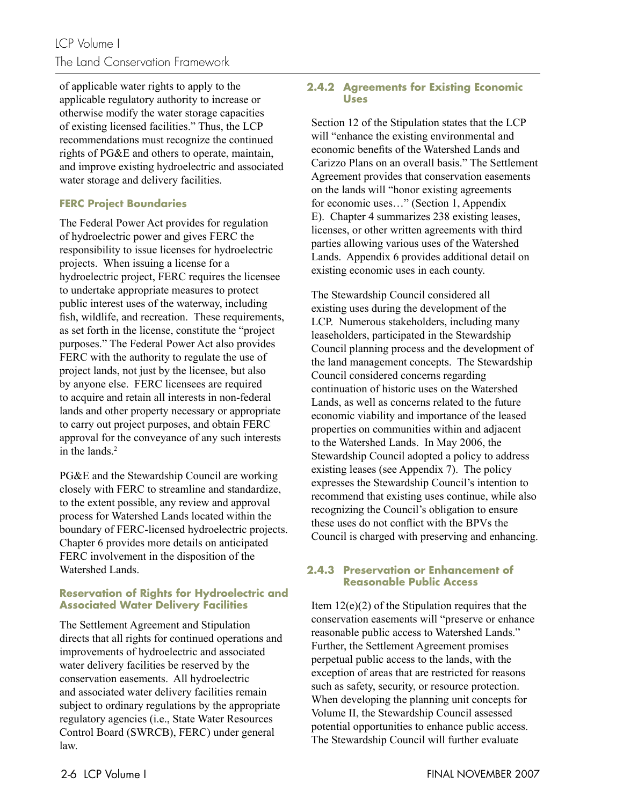of applicable water rights to apply to the applicable regulatory authority to increase or otherwise modify the water storage capacities of existing licensed facilities." Thus, the LCP recommendations must recognize the continued rights of PG&E and others to operate, maintain, and improve existing hydroelectric and associated water storage and delivery facilities.

# **FERC Project Boundaries**

The Federal Power Act provides for regulation of hydroelectric power and gives FERC the responsibility to issue licenses for hydroelectric projects. When issuing a license for a hydroelectric project, FERC requires the licensee to undertake appropriate measures to protect public interest uses of the waterway, including fish, wildlife, and recreation. These requirements, as set forth in the license, constitute the "project purposes." The Federal Power Act also provides FERC with the authority to regulate the use of project lands, not just by the licensee, but also by anyone else. FERC licensees are required to acquire and retain all interests in non-federal lands and other property necessary or appropriate to carry out project purposes, and obtain FERC approval for the conveyance of any such interests in the lands $2$ 

PG&E and the Stewardship Council are working closely with FERC to streamline and standardize, to the extent possible, any review and approval process for Watershed Lands located within the boundary of FERC-licensed hydroelectric projects. Chapter 6 provides more details on anticipated FERC involvement in the disposition of the Watershed Lands.

### **Reservation of Rights for Hydroelectric and Associated Water Delivery Facilities**

The Settlement Agreement and Stipulation directs that all rights for continued operations and improvements of hydroelectric and associated water delivery facilities be reserved by the conservation easements. All hydroelectric and associated water delivery facilities remain subject to ordinary regulations by the appropriate regulatory agencies (i.e., State Water Resources Control Board (SWRCB), FERC) under general law.

## **2.4.2 Agreements for Existing Economic Uses**

Section 12 of the Stipulation states that the LCP will "enhance the existing environmental and economic benefits of the Watershed Lands and Carizzo Plans on an overall basis." The Settlement Agreement provides that conservation easements on the lands will "honor existing agreements for economic uses…" (Section 1, Appendix E). Chapter 4 summarizes 238 existing leases, licenses, or other written agreements with third parties allowing various uses of the Watershed Lands. Appendix 6 provides additional detail on existing economic uses in each county.

The Stewardship Council considered all existing uses during the development of the LCP. Numerous stakeholders, including many leaseholders, participated in the Stewardship Council planning process and the development of the land management concepts. The Stewardship Council considered concerns regarding continuation of historic uses on the Watershed Lands, as well as concerns related to the future economic viability and importance of the leased properties on communities within and adjacent to the Watershed Lands. In May 2006, the Stewardship Council adopted a policy to address existing leases (see Appendix 7). The policy expresses the Stewardship Council's intention to recommend that existing uses continue, while also recognizing the Council's obligation to ensure these uses do not conflict with the BPVs the Council is charged with preserving and enhancing.

### **2.4.3 Preservation or Enhancement of Reasonable Public Access**

Item 12(e)(2) of the Stipulation requires that the conservation easements will "preserve or enhance reasonable public access to Watershed Lands." Further, the Settlement Agreement promises perpetual public access to the lands, with the exception of areas that are restricted for reasons such as safety, security, or resource protection. When developing the planning unit concepts for Volume II, the Stewardship Council assessed potential opportunities to enhance public access. The Stewardship Council will further evaluate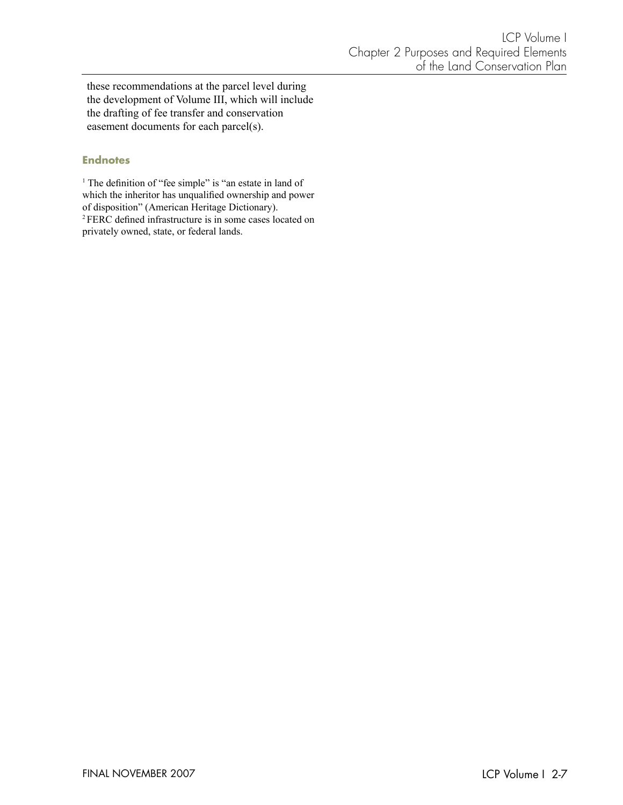these recommendations at the parcel level during the development of Volume III, which will include the drafting of fee transfer and conservation easement documents for each parcel(s).

#### **Endnotes**

<sup>1</sup> The definition of "fee simple" is "an estate in land of which the inheritor has unqualified ownership and power of disposition" (American Heritage Dictionary). <sup>2</sup> FERC defined infrastructure is in some cases located on privately owned, state, or federal lands.